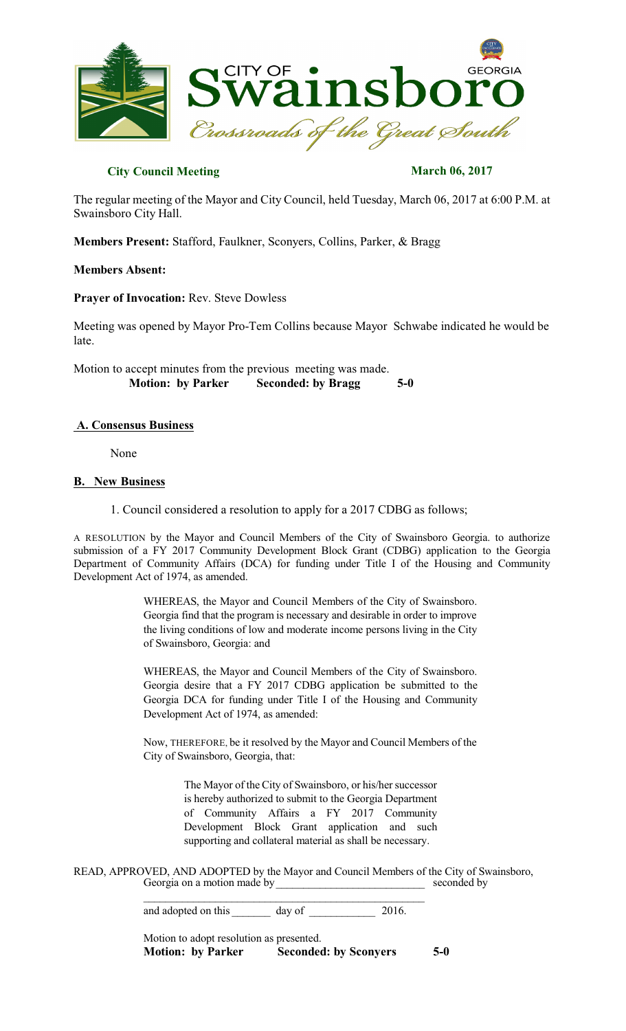

# **City Council Meeting March 06, 2017**

The regular meeting of the Mayor and City Council, held Tuesday, March 06, 2017 at 6:00 P.M. at Swainsboro City Hall.

**Members Present:** Stafford, Faulkner, Sconyers, Collins, Parker, & Bragg

### **Members Absent:**

**Prayer of Invocation:** Rev. Steve Dowless

Meeting was opened by Mayor Pro-Tem Collins because Mayor Schwabe indicated he would be late.

Motion to accept minutes from the previous meeting was made.  **Motion: by Parker Seconded: by Bragg 5-0** 

# **A. Consensus Business**

None

### **B. New Business**

1. Council considered a resolution to apply for a 2017 CDBG as follows;

A RESOLUTION by the Mayor and Council Members of the City of Swainsboro Georgia. to authorize submission of a FY 2017 Community Development Block Grant (CDBG) application to the Georgia Department of Community Affairs (DCA) for funding under Title I of the Housing and Community Development Act of 1974, as amended.

> WHEREAS, the Mayor and Council Members of the City of Swainsboro. Georgia find that the program is necessary and desirable in order to improve the living conditions of low and moderate income persons living in the City of Swainsboro, Georgia: and

> WHEREAS, the Mayor and Council Members of the City of Swainsboro. Georgia desire that a FY 2017 CDBG application be submitted to the Georgia DCA for funding under Title I of the Housing and Community Development Act of 1974, as amended:

> Now, THEREFORE, be it resolved by the Mayor and Council Members of the City of Swainsboro, Georgia, that:

> > The Mayor of the City of Swainsboro, or his/her successor is hereby authorized to submit to the Georgia Department of Community Affairs a FY 2017 Community Development Block Grant application and such supporting and collateral material as shall be necessary.

READ, APPROVED, AND ADOPTED by the Mayor and Council Members of the City of Swainsboro,<br>Georgia on a motion made by<br>geconded by Georgia on a motion made by\_\_\_\_\_\_\_\_\_\_\_\_\_\_\_\_\_\_\_\_\_\_\_\_\_\_\_ seconded by

> \_\_\_\_\_\_\_\_\_\_\_\_\_\_\_\_\_\_\_\_\_\_\_\_\_\_\_\_\_\_\_\_\_\_\_\_\_\_\_\_\_\_\_\_\_\_\_\_\_\_\_ and adopted on this day of 2016.

Motion to adopt resolution as presented. **Motion: by Parker Seconded: by Sconyers 5-0**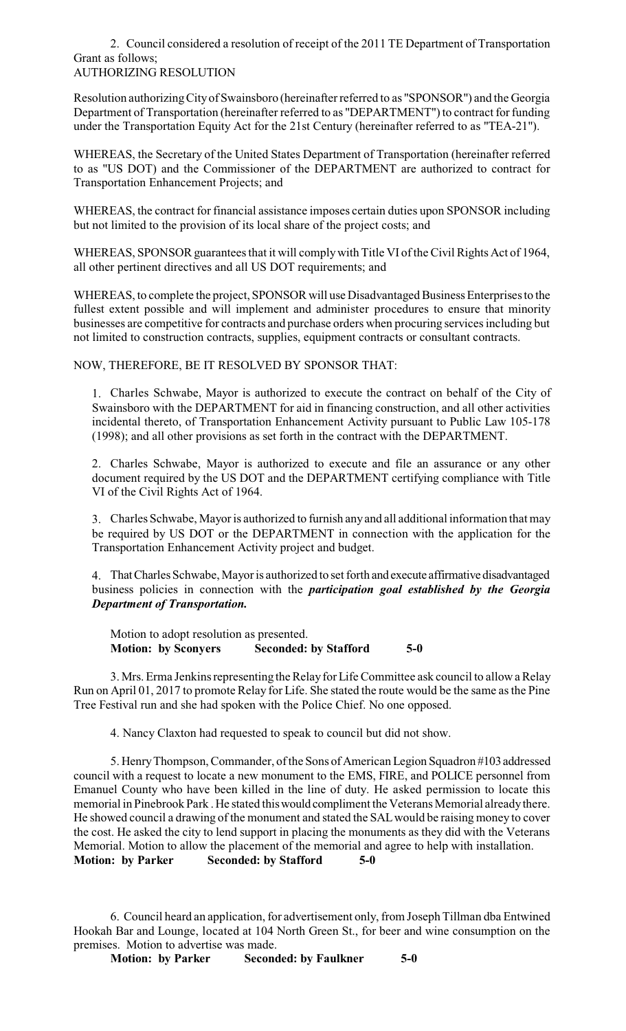#### 2. Council considered a resolution of receipt of the 2011 TE Department of Transportation Grant as follows; AUTHORIZING RESOLUTION

Resolution authorizingCityof Swainsboro (hereinafter referred to as "SPONSOR") and the Georgia Department of Transportation (hereinafter referred to as "DEPARTMENT") to contract for funding under the Transportation Equity Act for the 21st Century (hereinafter referred to as "TEA-21").

WHEREAS, the Secretary of the United States Department of Transportation (hereinafter referred to as "US DOT) and the Commissioner of the DEPARTMENT are authorized to contract for Transportation Enhancement Projects; and

WHEREAS, the contract for financial assistance imposes certain duties upon SPONSOR including but not limited to the provision of its local share of the project costs; and

WHEREAS, SPONSOR guarantees that it will comply with Title VI of the Civil Rights Act of 1964, all other pertinent directives and all US DOT requirements; and

WHEREAS, to complete the project, SPONSOR will use Disadvantaged Business Enterprises to the fullest extent possible and will implement and administer procedures to ensure that minority businesses are competitive for contracts and purchase orders when procuring services including but not limited to construction contracts, supplies, equipment contracts or consultant contracts.

NOW, THEREFORE, BE IT RESOLVED BY SPONSOR THAT:

1. Charles Schwabe, Mayor is authorized to execute the contract on behalf of the City of Swainsboro with the DEPARTMENT for aid in financing construction, and all other activities incidental thereto, of Transportation Enhancement Activity pursuant to Public Law 105-178 (1998); and all other provisions as set forth in the contract with the DEPARTMENT.

2. Charles Schwabe, Mayor is authorized to execute and file an assurance or any other document required by the US DOT and the DEPARTMENT certifying compliance with Title VI of the Civil Rights Act of 1964.

3. Charles Schwabe, Mayor is authorized to furnish anyand all additional information that may be required by US DOT or the DEPARTMENT in connection with the application for the Transportation Enhancement Activity project and budget.

4. That Charles Schwabe, Mayor is authorized to set forth and execute affirmative disadvantaged business policies in connection with the *participation goal established by the Georgia Department of Transportation.*

Motion to adopt resolution as presented. **Motion: by Sconyers Seconded: by Stafford 5-0** 

3. Mrs. Erma Jenkins representing the Relay for Life Committee ask council to allow a Relay Run on April 01, 2017 to promote Relay for Life. She stated the route would be the same asthe Pine Tree Festival run and she had spoken with the Police Chief. No one opposed.

4. Nancy Claxton had requested to speak to council but did not show.

5. Henry Thompson, Commander, of the Sons of American Legion Squadron #103 addressed council with a request to locate a new monument to the EMS, FIRE, and POLICE personnel from Emanuel County who have been killed in the line of duty. He asked permission to locate this memorial in Pinebrook Park. He stated this would compliment the Veterans Memorial already there. He showed council a drawing of the monument and stated the SALwould be raising money to cover the cost. He asked the city to lend support in placing the monuments as they did with the Veterans Memorial. Motion to allow the placement of the memorial and agree to help with installation. **Motion: by Parker Seconded: by Stafford 5-0** 

6. Council heard an application, for advertisement only, from Joseph Tillman dba Entwined Hookah Bar and Lounge, located at 104 North Green St., for beer and wine consumption on the premises. Motion to advertise was made.

**Motion: by Parker Seconded: by Faulkner 5-0**